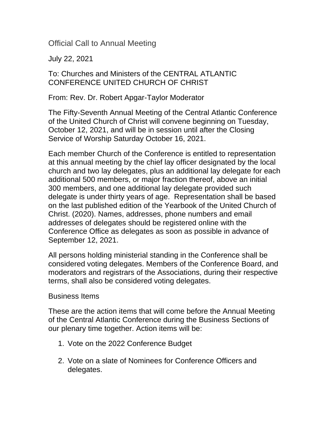Official Call to Annual Meeting

July 22, 2021

## To: Churches and Ministers of the CENTRAL ATLANTIC CONFERENCE UNITED CHURCH OF CHRIST

From: Rev. Dr. Robert Apgar-Taylor Moderator

The Fifty-Seventh Annual Meeting of the Central Atlantic Conference of the United Church of Christ will convene beginning on Tuesday, October 12, 2021, and will be in session until after the Closing Service of Worship Saturday October 16, 2021.

Each member Church of the Conference is entitled to representation at this annual meeting by the chief lay officer designated by the local church and two lay delegates, plus an additional lay delegate for each additional 500 members, or major fraction thereof, above an initial 300 members, and one additional lay delegate provided such delegate is under thirty years of age. Representation shall be based on the last published edition of the Yearbook of the United Church of Christ. (2020). Names, addresses, phone numbers and email addresses of delegates should be registered online with the Conference Office as delegates as soon as possible in advance of September 12, 2021.

All persons holding ministerial standing in the Conference shall be considered voting delegates. Members of the Conference Board, and moderators and registrars of the Associations, during their respective terms, shall also be considered voting delegates.

## Business Items

These are the action items that will come before the Annual Meeting of the Central Atlantic Conference during the Business Sections of our plenary time together. Action items will be:

- 1. Vote on the 2022 Conference Budget
- 2. Vote on a slate of Nominees for Conference Officers and delegates.